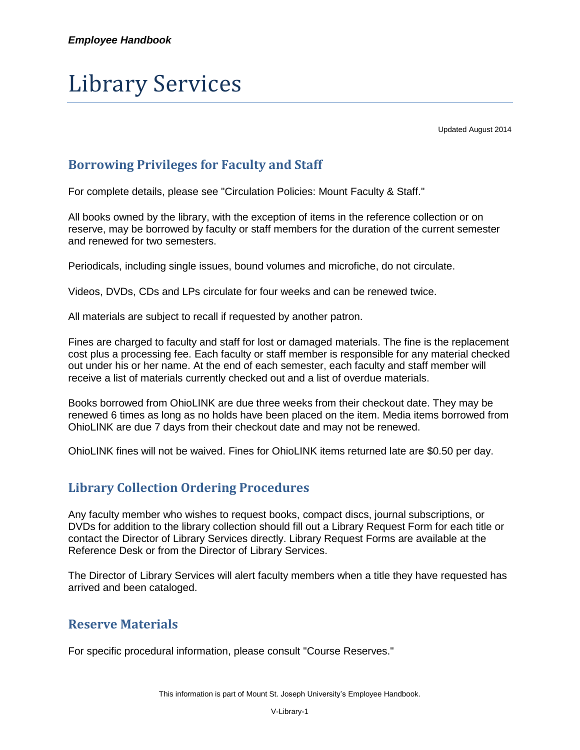# Library Services

Updated August 2014

# **Borrowing Privileges for Faculty and Staff**

For complete details, please see "Circulation Policies: Mount Faculty & Staff."

All books owned by the library, with the exception of items in the reference collection or on reserve, may be borrowed by faculty or staff members for the duration of the current semester and renewed for two semesters.

Periodicals, including single issues, bound volumes and microfiche, do not circulate.

Videos, DVDs, CDs and LPs circulate for four weeks and can be renewed twice.

All materials are subject to recall if requested by another patron.

Fines are charged to faculty and staff for lost or damaged materials. The fine is the replacement cost plus a processing fee. Each faculty or staff member is responsible for any material checked out under his or her name. At the end of each semester, each faculty and staff member will receive a list of materials currently checked out and a list of overdue materials.

Books borrowed from OhioLINK are due three weeks from their checkout date. They may be renewed 6 times as long as no holds have been placed on the item. Media items borrowed from OhioLINK are due 7 days from their checkout date and may not be renewed.

OhioLINK fines will not be waived. Fines for OhioLINK items returned late are \$0.50 per day.

## **Library Collection Ordering Procedures**

Any faculty member who wishes to request books, compact discs, journal subscriptions, or DVDs for addition to the library collection should fill out a Library Request Form for each title or contact the Director of Library Services directly. Library Request Forms are available at the Reference Desk or from the Director of Library Services.

The Director of Library Services will alert faculty members when a title they have requested has arrived and been cataloged.

### **Reserve Materials**

For specific procedural information, please consult "Course Reserves."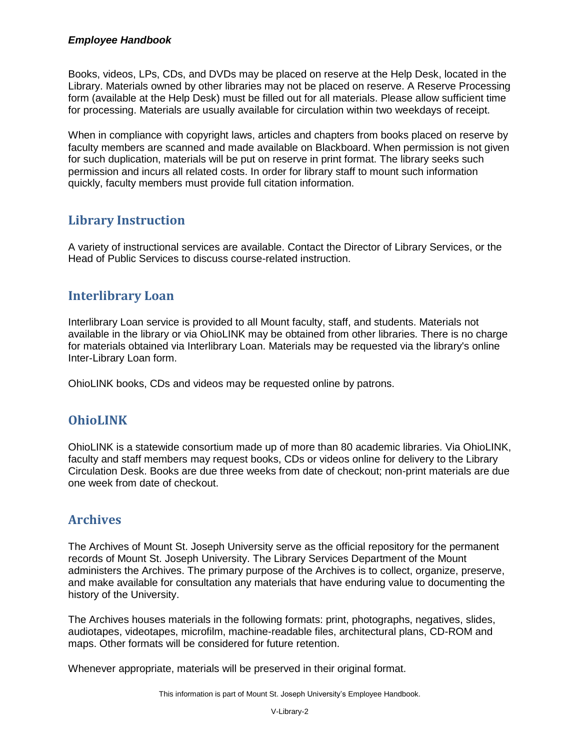#### *Employee Handbook*

Books, videos, LPs, CDs, and DVDs may be placed on reserve at the Help Desk, located in the Library. Materials owned by other libraries may not be placed on reserve. A Reserve Processing form (available at the Help Desk) must be filled out for all materials. Please allow sufficient time for processing. Materials are usually available for circulation within two weekdays of receipt.

When in compliance with copyright laws, articles and chapters from books placed on reserve by faculty members are scanned and made available on Blackboard. When permission is not given for such duplication, materials will be put on reserve in print format. The library seeks such permission and incurs all related costs. In order for library staff to mount such information quickly, faculty members must provide full citation information.

## **Library Instruction**

A variety of instructional services are available. Contact the Director of Library Services, or the Head of Public Services to discuss course-related instruction.

## **Interlibrary Loan**

Interlibrary Loan service is provided to all Mount faculty, staff, and students. Materials not available in the library or via OhioLINK may be obtained from other libraries. There is no charge for materials obtained via Interlibrary Loan. Materials may be requested via the library's online Inter-Library Loan form.

OhioLINK books, CDs and videos may be requested online by patrons.

### **OhioLINK**

OhioLINK is a statewide consortium made up of more than 80 academic libraries. Via OhioLINK, faculty and staff members may request books, CDs or videos online for delivery to the Library Circulation Desk. Books are due three weeks from date of checkout; non-print materials are due one week from date of checkout.

## **Archives**

The Archives of Mount St. Joseph University serve as the official repository for the permanent records of Mount St. Joseph University. The Library Services Department of the Mount administers the Archives. The primary purpose of the Archives is to collect, organize, preserve, and make available for consultation any materials that have enduring value to documenting the history of the University.

The Archives houses materials in the following formats: print, photographs, negatives, slides, audiotapes, videotapes, microfilm, machine-readable files, architectural plans, CD-ROM and maps. Other formats will be considered for future retention.

Whenever appropriate, materials will be preserved in their original format.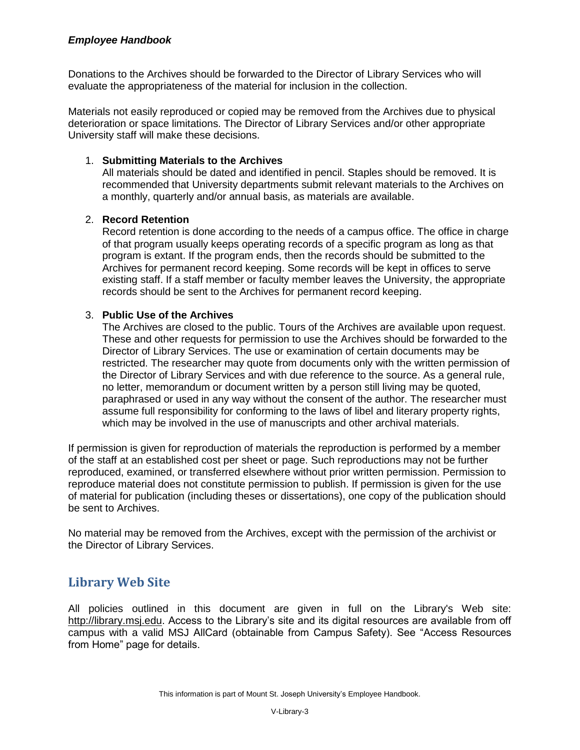#### *Employee Handbook*

Donations to the Archives should be forwarded to the Director of Library Services who will evaluate the appropriateness of the material for inclusion in the collection.

Materials not easily reproduced or copied may be removed from the Archives due to physical deterioration or space limitations. The Director of Library Services and/or other appropriate University staff will make these decisions.

#### 1. **Submitting Materials to the Archives**

All materials should be dated and identified in pencil. Staples should be removed. It is recommended that University departments submit relevant materials to the Archives on a monthly, quarterly and/or annual basis, as materials are available.

#### 2. **Record Retention**

Record retention is done according to the needs of a campus office. The office in charge of that program usually keeps operating records of a specific program as long as that program is extant. If the program ends, then the records should be submitted to the Archives for permanent record keeping. Some records will be kept in offices to serve existing staff. If a staff member or faculty member leaves the University, the appropriate records should be sent to the Archives for permanent record keeping.

#### 3. **Public Use of the Archives**

The Archives are closed to the public. Tours of the Archives are available upon request. These and other requests for permission to use the Archives should be forwarded to the Director of Library Services. The use or examination of certain documents may be restricted. The researcher may quote from documents only with the written permission of the Director of Library Services and with due reference to the source. As a general rule, no letter, memorandum or document written by a person still living may be quoted, paraphrased or used in any way without the consent of the author. The researcher must assume full responsibility for conforming to the laws of libel and literary property rights, which may be involved in the use of manuscripts and other archival materials.

If permission is given for reproduction of materials the reproduction is performed by a member of the staff at an established cost per sheet or page. Such reproductions may not be further reproduced, examined, or transferred elsewhere without prior written permission. Permission to reproduce material does not constitute permission to publish. If permission is given for the use of material for publication (including theses or dissertations), one copy of the publication should be sent to Archives.

No material may be removed from the Archives, except with the permission of the archivist or the Director of Library Services.

### **Library Web Site**

All policies outlined in this document are given in full on the Library's Web site: [http://library.msj.edu.](http://library.msj.edu/) Access to the Library's site and its digital resources are available from off campus with a valid MSJ AllCard (obtainable from Campus Safety). See "Access Resources from Home" page for details.